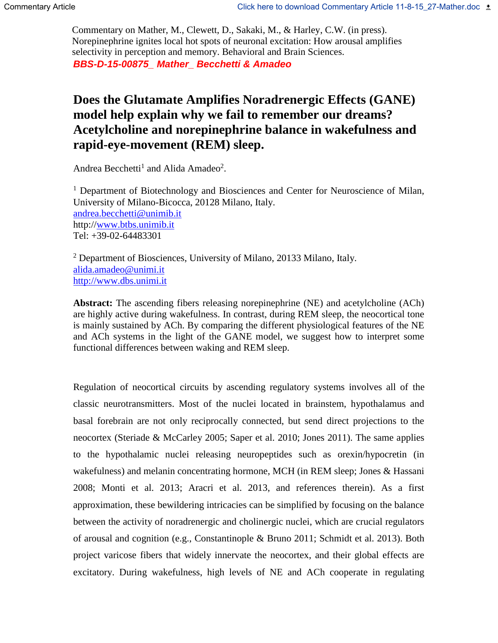*BBS-D-15-00875\_ Mather\_ Becchetti & Amadeo* Commentary on Mather, M., Clewett, D., Sakaki, M., & Harley, C.W. (in press). Norepinephrine ignites local hot spots of neuronal excitation: How arousal amplifies selectivity in perception and memory. Behavioral and Brain Sciences.

## **Does the Glutamate Amplifies Noradrenergic Effects (GANE) model help explain why we fail to remember our dreams? Acetylcholine and norepinephrine balance in wakefulness and rapid-eye-movement (REM) sleep.**

Andrea Becchetti<sup>1</sup> and Alida Amadeo<sup>2</sup>.

<sup>1</sup> Department of Biotechnology and Biosciences and Center for Neuroscience of Milan, University of Milano-Bicocca, 20128 Milano, Italy. [andrea.becchetti@unimib.it](mailto:andrea.becchetti@unimib.it) http:/[/www.btbs.unimib.it](http://www.btbs.unimib.it/) Tel: +39-02-64483301

 $2$  Department of Biosciences, University of Milano, 20133 Milano, Italy. [alida.amadeo@unimi.it](mailto:alida.amadeo@unimi.it) [http://www.dbs.unimi.it](http://www.dbs.unimi.it/)

**Abstract:** The ascending fibers releasing norepinephrine (NE) and acetylcholine (ACh) are highly active during wakefulness. In contrast, during REM sleep, the neocortical tone is mainly sustained by ACh. By comparing the different physiological features of the NE and ACh systems in the light of the GANE model, we suggest how to interpret some functional differences between waking and REM sleep.

Regulation of neocortical circuits by ascending regulatory systems involves all of the classic neurotransmitters. Most of the nuclei located in brainstem, hypothalamus and basal forebrain are not only reciprocally connected, but send direct projections to the neocortex (Steriade & McCarley 2005; Saper et al. 2010; Jones 2011). The same applies to the hypothalamic nuclei releasing neuropeptides such as orexin/hypocretin (in wakefulness) and melanin concentrating hormone, MCH (in REM sleep; Jones & Hassani 2008; Monti et al. 2013; Aracri et al. 2013, and references therein). As a first approximation, these bewildering intricacies can be simplified by focusing on the balance between the activity of noradrenergic and cholinergic nuclei, which are crucial regulators of arousal and cognition (e.g., Constantinople & Bruno 2011; Schmidt et al. 2013). Both project varicose fibers that widely innervate the neocortex, and their global effects are excitatory. During wakefulness, high levels of NE and ACh cooperate in regulating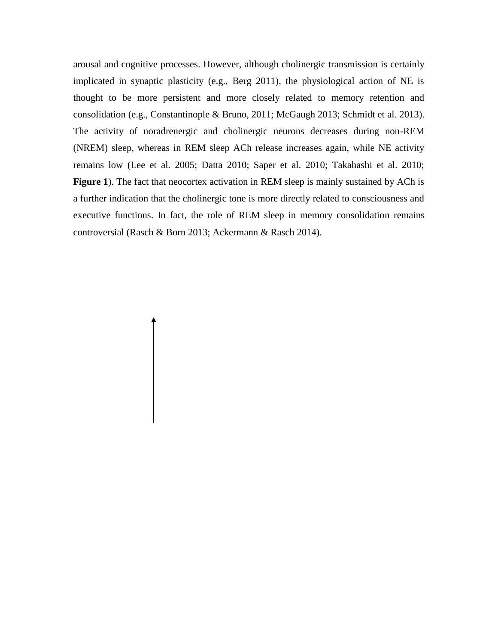arousal and cognitive processes. However, although cholinergic transmission is certainly implicated in synaptic plasticity (e.g., Berg 2011), the physiological action of NE is thought to be more persistent and more closely related to memory retention and consolidation (e.g., Constantinople & Bruno, 2011; McGaugh 2013; Schmidt et al. 2013). The activity of noradrenergic and cholinergic neurons decreases during non-REM (NREM) sleep, whereas in REM sleep ACh release increases again, while NE activity remains low (Lee et al. 2005; Datta 2010; Saper et al. 2010; Takahashi et al. 2010; **Figure 1**). The fact that neocortex activation in REM sleep is mainly sustained by ACh is a further indication that the cholinergic tone is more directly related to consciousness and executive functions. In fact, the role of REM sleep in memory consolidation remains controversial (Rasch & Born 2013; Ackermann & Rasch 2014).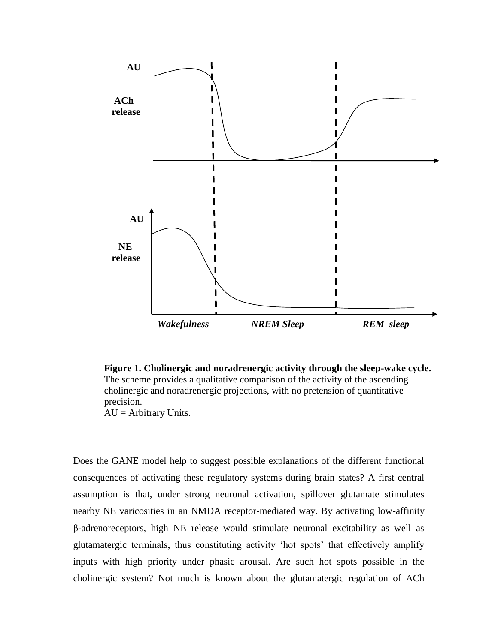

**Figure 1. Cholinergic and noradrenergic activity through the sleep-wake cycle.**  The scheme provides a qualitative comparison of the activity of the ascending cholinergic and noradrenergic projections, with no pretension of quantitative precision.  $AU =$  Arbitrary Units.

Does the GANE model help to suggest possible explanations of the different functional consequences of activating these regulatory systems during brain states? A first central assumption is that, under strong neuronal activation, spillover glutamate stimulates nearby NE varicosities in an NMDA receptor-mediated way. By activating low-affinity β-adrenoreceptors, high NE release would stimulate neuronal excitability as well as glutamatergic terminals, thus constituting activity 'hot spots' that effectively amplify inputs with high priority under phasic arousal. Are such hot spots possible in the cholinergic system? Not much is known about the glutamatergic regulation of ACh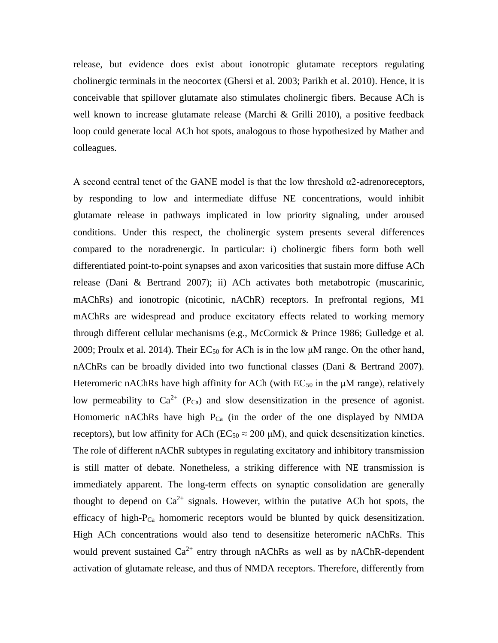release, but evidence does exist about ionotropic glutamate receptors regulating cholinergic terminals in the neocortex (Ghersi et al. 2003; Parikh et al. 2010). Hence, it is conceivable that spillover glutamate also stimulates cholinergic fibers. Because ACh is well known to increase glutamate release (Marchi & Grilli 2010), a positive feedback loop could generate local ACh hot spots, analogous to those hypothesized by Mather and colleagues.

A second central tenet of the GANE model is that the low threshold  $\alpha$ 2-adrenoreceptors, by responding to low and intermediate diffuse NE concentrations, would inhibit glutamate release in pathways implicated in low priority signaling, under aroused conditions. Under this respect, the cholinergic system presents several differences compared to the noradrenergic. In particular: i) cholinergic fibers form both well differentiated point-to-point synapses and axon varicosities that sustain more diffuse ACh release (Dani & Bertrand 2007); ii) ACh activates both metabotropic (muscarinic, mAChRs) and ionotropic (nicotinic, nAChR) receptors. In prefrontal regions, M1 mAChRs are widespread and produce excitatory effects related to working memory through different cellular mechanisms (e.g., McCormick & Prince 1986; Gulledge et al. 2009; Proulx et al. 2014). Their  $EC_{50}$  for ACh is in the low  $\mu$ M range. On the other hand, nAChRs can be broadly divided into two functional classes (Dani & Bertrand 2007). Heteromeric nAChRs have high affinity for ACh (with  $EC_{50}$  in the  $\mu$ M range), relatively low permeability to  $Ca^{2+}$  (P<sub>Ca</sub>) and slow desensitization in the presence of agonist. Homomeric nAChRs have high  $P_{Ca}$  (in the order of the one displayed by NMDA receptors), but low affinity for ACh ( $EC_{50} \approx 200 \mu M$ ), and quick desensitization kinetics. The role of different nAChR subtypes in regulating excitatory and inhibitory transmission is still matter of debate. Nonetheless, a striking difference with NE transmission is immediately apparent. The long-term effects on synaptic consolidation are generally thought to depend on  $Ca^{2+}$  signals. However, within the putative ACh hot spots, the efficacy of high-PCa homomeric receptors would be blunted by quick desensitization. High ACh concentrations would also tend to desensitize heteromeric nAChRs. This would prevent sustained  $Ca^{2+}$  entry through nAChRs as well as by nAChR-dependent activation of glutamate release, and thus of NMDA receptors. Therefore, differently from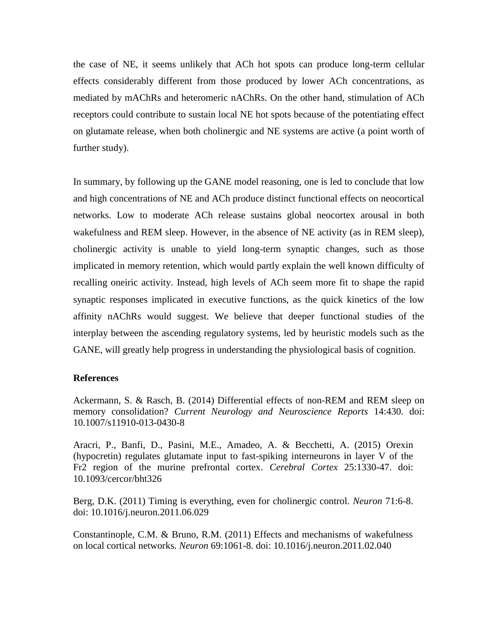the case of NE, it seems unlikely that ACh hot spots can produce long-term cellular effects considerably different from those produced by lower ACh concentrations, as mediated by mAChRs and heteromeric nAChRs. On the other hand, stimulation of ACh receptors could contribute to sustain local NE hot spots because of the potentiating effect on glutamate release, when both cholinergic and NE systems are active (a point worth of further study).

In summary, by following up the GANE model reasoning, one is led to conclude that low and high concentrations of NE and ACh produce distinct functional effects on neocortical networks. Low to moderate ACh release sustains global neocortex arousal in both wakefulness and REM sleep. However, in the absence of NE activity (as in REM sleep), cholinergic activity is unable to yield long-term synaptic changes, such as those implicated in memory retention, which would partly explain the well known difficulty of recalling oneiric activity. Instead, high levels of ACh seem more fit to shape the rapid synaptic responses implicated in executive functions, as the quick kinetics of the low affinity nAChRs would suggest. We believe that deeper functional studies of the interplay between the ascending regulatory systems, led by heuristic models such as the GANE, will greatly help progress in understanding the physiological basis of cognition.

## **References**

Ackermann, S. & Rasch, B. (2014) Differential effects of non-REM and REM sleep on memory consolidation? *Current Neurology and Neuroscience Reports* 14:430. doi: 10.1007/s11910-013-0430-8

Aracri, P., Banfi, D., Pasini, M.E., Amadeo, A. & Becchetti, A. (2015) Orexin (hypocretin) regulates glutamate input to fast-spiking interneurons in layer V of the Fr2 region of the murine prefrontal cortex. *Cerebral Cortex* 25:1330-47. doi: 10.1093/cercor/bht326

Berg, D.K. (2011) Timing is everything, even for cholinergic control. *Neuron* 71:6-8. doi: 10.1016/j.neuron.2011.06.029

Constantinople, C.M. & Bruno, R.M. (2011) Effects and mechanisms of wakefulness on local cortical networks. *Neuron* 69:1061-8. doi: 10.1016/j.neuron.2011.02.040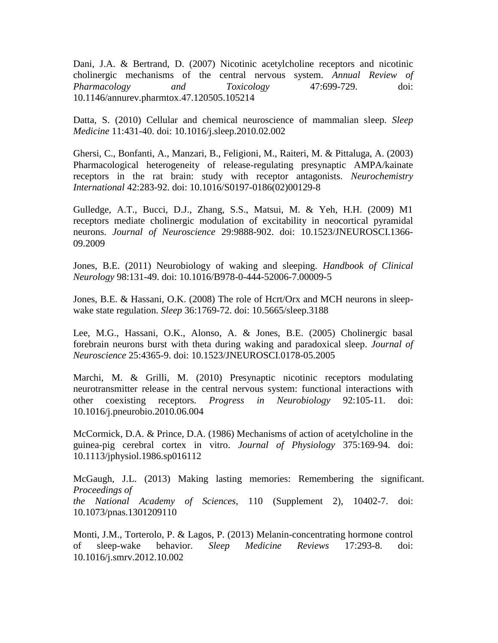Dani, J.A. & Bertrand, D. (2007) Nicotinic acetylcholine receptors and nicotinic cholinergic mechanisms of the central nervous system. *Annual Review of Pharmacology and Toxicology* 47:699-729. doi: 10.1146/annurev.pharmtox.47.120505.105214

Datta, S. (2010) Cellular and chemical neuroscience of mammalian sleep. *Sleep Medicine* 11:431-40. doi: 10.1016/j.sleep.2010.02.002

Ghersi, C., Bonfanti, A., Manzari, B., Feligioni, M., Raiteri, M. & Pittaluga, A. (2003) Pharmacological heterogeneity of release-regulating presynaptic AMPA/kainate receptors in the rat brain: study with receptor antagonists. *Neurochemistry International* 42:283-92. doi: 10.1016/S0197-0186(02)00129-8

Gulledge, A.T., Bucci, D.J., Zhang, S.S., Matsui, M. & Yeh, H.H. (2009) M1 receptors mediate cholinergic modulation of excitability in neocortical pyramidal neurons. *Journal of Neuroscience* 29:9888-902. doi: 10.1523/JNEUROSCI.1366- 09.2009

Jones, B.E. (2011) Neurobiology of waking and sleeping. *Handbook of Clinical Neurology* 98:131-49. doi: 10.1016/B978-0-444-52006-7.00009-5

Jones, B.E. & Hassani, O.K. (2008) The role of Hcrt/Orx and MCH neurons in sleepwake state regulation. *Sleep* 36:1769-72. doi: 10.5665/sleep.3188

Lee, M.G., Hassani, O.K., Alonso, A. & Jones, B.E. (2005) Cholinergic basal forebrain neurons burst with theta during waking and paradoxical sleep. *Journal of Neuroscience* 25:4365-9. doi: 10.1523/JNEUROSCI.0178-05.2005

Marchi, M. & Grilli, M. (2010) Presynaptic nicotinic receptors modulating neurotransmitter release in the central nervous system: functional interactions with other coexisting receptors. *Progress in Neurobiology* 92:105-11. doi: 10.1016/j.pneurobio.2010.06.004

McCormick, D.A. & Prince, D.A. (1986) Mechanisms of action of acetylcholine in the guinea-pig cerebral cortex in vitro. *Journal of Physiology* 375:169-94. doi: 10.1113/jphysiol.1986.sp016112

McGaugh, J.L. (2013) Making lasting memories: Remembering the significant. *Proceedings of the National Academy of Sciences*, 110 (Supplement 2), 10402-7. doi: 10.1073/pnas.1301209110

Monti, J.M., Torterolo, P. & Lagos, P. (2013) Melanin-concentrating hormone control of sleep-wake behavior. *Sleep Medicine Reviews* 17:293-8. doi: 10.1016/j.smrv.2012.10.002